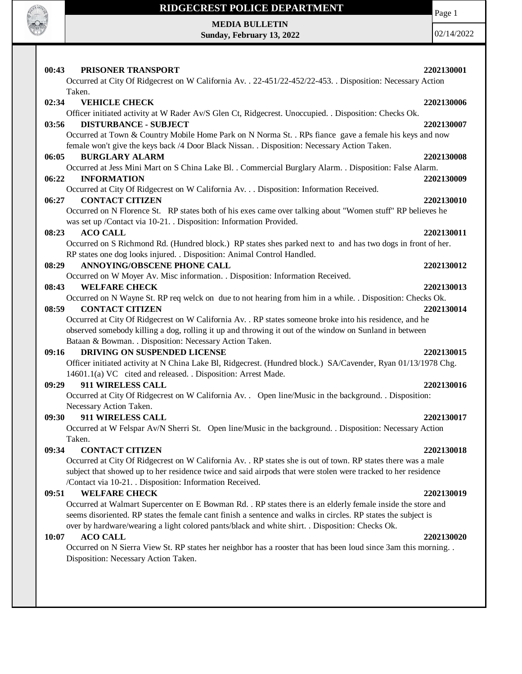

# **RIDGECREST POLICE DEPARTMENT MEDIA BULLETIN**

**Sunday, February 13, 2022**

Page 1

| 00:43<br>PRISONER TRANSPORT                                                                                                                                                                            | 2202130001 |
|--------------------------------------------------------------------------------------------------------------------------------------------------------------------------------------------------------|------------|
| Occurred at City Of Ridgecrest on W California Av. . 22-451/22-452/22-453. . Disposition: Necessary Action                                                                                             |            |
| Taken.                                                                                                                                                                                                 |            |
| 02:34<br><b>VEHICLE CHECK</b>                                                                                                                                                                          | 2202130006 |
| Officer initiated activity at W Rader Av/S Glen Ct, Ridgecrest. Unoccupied. . Disposition: Checks Ok.                                                                                                  |            |
| <b>DISTURBANCE - SUBJECT</b><br>03:56                                                                                                                                                                  | 2202130007 |
| Occurred at Town & Country Mobile Home Park on N Norma St. . RPs fiance gave a female his keys and now<br>female won't give the keys back /4 Door Black Nissan. . Disposition: Necessary Action Taken. |            |
| <b>BURGLARY ALARM</b><br>06:05                                                                                                                                                                         | 2202130008 |
| Occurred at Jess Mini Mart on S China Lake Bl. . Commercial Burglary Alarm. . Disposition: False Alarm.                                                                                                |            |
| 06:22<br><b>INFORMATION</b>                                                                                                                                                                            | 2202130009 |
| Occurred at City Of Ridgecrest on W California Av. Disposition: Information Received.                                                                                                                  |            |
| <b>CONTACT CITIZEN</b><br>06:27                                                                                                                                                                        | 2202130010 |
| Occurred on N Florence St. RP states both of his exes came over talking about "Women stuff" RP believes he                                                                                             |            |
| was set up /Contact via 10-21. . Disposition: Information Provided.                                                                                                                                    |            |
| <b>ACO CALL</b><br>08:23                                                                                                                                                                               | 2202130011 |
| Occurred on S Richmond Rd. (Hundred block.) RP states shes parked next to and has two dogs in front of her.                                                                                            |            |
| RP states one dog looks injured. . Disposition: Animal Control Handled.                                                                                                                                |            |
| ANNOYING/OBSCENE PHONE CALL<br>08:29                                                                                                                                                                   | 2202130012 |
| Occurred on W Moyer Av. Misc information. . Disposition: Information Received.                                                                                                                         |            |
| 08:43<br><b>WELFARE CHECK</b>                                                                                                                                                                          | 2202130013 |
| Occurred on N Wayne St. RP req welck on due to not hearing from him in a while. . Disposition: Checks Ok.                                                                                              |            |
| 08:59<br><b>CONTACT CITIZEN</b>                                                                                                                                                                        | 2202130014 |
| Occurred at City Of Ridgecrest on W California Av. . RP states someone broke into his residence, and he                                                                                                |            |
| observed somebody killing a dog, rolling it up and throwing it out of the window on Sunland in between                                                                                                 |            |
| Bataan & Bowman. . Disposition: Necessary Action Taken.                                                                                                                                                |            |
| DRIVING ON SUSPENDED LICENSE<br>09:16                                                                                                                                                                  | 2202130015 |
| Officer initiated activity at N China Lake Bl, Ridgecrest. (Hundred block.) SA/Cavender, Ryan 01/13/1978 Chg.                                                                                          |            |
| 14601.1(a) VC cited and released. . Disposition: Arrest Made.                                                                                                                                          |            |
| 09:29<br>911 WIRELESS CALL<br>Occurred at City Of Ridgecrest on W California Av. . Open line/Music in the background. . Disposition:                                                                   | 2202130016 |
| Necessary Action Taken.                                                                                                                                                                                |            |
| 911 WIRELESS CALL<br>09:30                                                                                                                                                                             | 2202130017 |
| Occurred at W Felspar Av/N Sherri St. Open line/Music in the background. . Disposition: Necessary Action                                                                                               |            |
| Taken.                                                                                                                                                                                                 |            |
| 09:34<br><b>CONTACT CITIZEN</b>                                                                                                                                                                        | 2202130018 |
| Occurred at City Of Ridgecrest on W California Av. . RP states she is out of town. RP states there was a male                                                                                          |            |
| subject that showed up to her residence twice and said airpods that were stolen were tracked to her residence                                                                                          |            |
| /Contact via 10-21. . Disposition: Information Received.                                                                                                                                               |            |
| <b>WELFARE CHECK</b><br>09:51                                                                                                                                                                          | 2202130019 |
| Occurred at Walmart Supercenter on E Bowman Rd. . RP states there is an elderly female inside the store and                                                                                            |            |
| seems disoriented. RP states the female cant finish a sentence and walks in circles. RP states the subject is                                                                                          |            |
| over by hardware/wearing a light colored pants/black and white shirt. . Disposition: Checks Ok.                                                                                                        |            |
| <b>ACO CALL</b><br>10:07                                                                                                                                                                               | 2202130020 |
| Occurred on N Sierra View St. RP states her neighbor has a rooster that has been loud since 3am this morning                                                                                           |            |
| Disposition: Necessary Action Taken.                                                                                                                                                                   |            |
|                                                                                                                                                                                                        |            |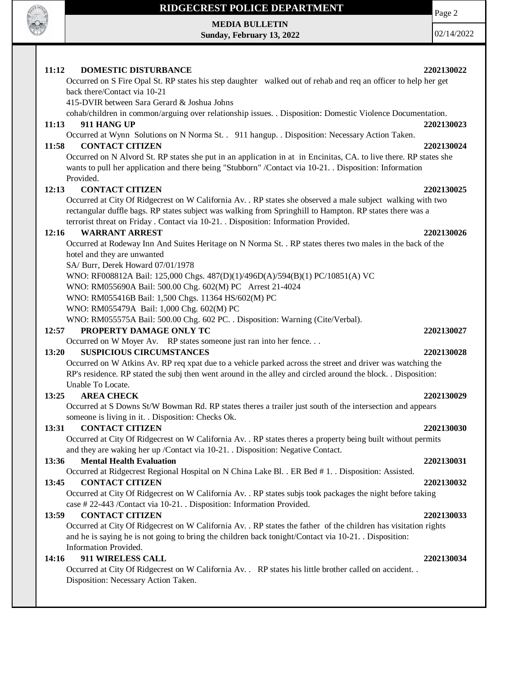

**MEDIA BULLETIN**

**Sunday, February 13, 2022**

Page 2

| 11:12<br><b>DOMESTIC DISTURBANCE</b>                                                                                                                                                                                       | 2202130022 |  |
|----------------------------------------------------------------------------------------------------------------------------------------------------------------------------------------------------------------------------|------------|--|
| Occurred on S Fire Opal St. RP states his step daughter walked out of rehab and req an officer to help her get                                                                                                             |            |  |
| back there/Contact via 10-21                                                                                                                                                                                               |            |  |
| 415-DVIR between Sara Gerard & Joshua Johns                                                                                                                                                                                |            |  |
| cohab/children in common/arguing over relationship issues. . Disposition: Domestic Violence Documentation.                                                                                                                 |            |  |
| 911 HANG UP<br>11:13                                                                                                                                                                                                       | 2202130023 |  |
| Occurred at Wynn Solutions on N Norma St. . 911 hangup. . Disposition: Necessary Action Taken.<br><b>CONTACT CITIZEN</b><br>11:58                                                                                          | 2202130024 |  |
| Occurred on N Alvord St. RP states she put in an application in at in Encinitas, CA. to live there. RP states she<br>wants to pull her application and there being "Stubborn" /Contact via 10-21. Disposition: Information |            |  |
| Provided.                                                                                                                                                                                                                  |            |  |
| <b>CONTACT CITIZEN</b><br>12:13                                                                                                                                                                                            | 2202130025 |  |
| Occurred at City Of Ridgecrest on W California Av. . RP states she observed a male subject walking with two                                                                                                                |            |  |
| rectangular duffle bags. RP states subject was walking from Springhill to Hampton. RP states there was a                                                                                                                   |            |  |
| terrorist threat on Friday . Contact via 10-21. . Disposition: Information Provided.                                                                                                                                       |            |  |
| <b>WARRANT ARREST</b><br>12:16                                                                                                                                                                                             | 2202130026 |  |
| Occurred at Rodeway Inn And Suites Heritage on N Norma St. . RP states theres two males in the back of the                                                                                                                 |            |  |
| hotel and they are unwanted                                                                                                                                                                                                |            |  |
| SA/ Burr, Derek Howard 07/01/1978                                                                                                                                                                                          |            |  |
| WNO: RF008812A Bail: 125,000 Chgs. 487(D)(1)/496D(A)/594(B)(1) PC/10851(A) VC                                                                                                                                              |            |  |
| WNO: RM055690A Bail: 500.00 Chg. 602(M) PC Arrest 21-4024                                                                                                                                                                  |            |  |
| WNO: RM055416B Bail: 1,500 Chgs. 11364 HS/602(M) PC<br>WNO: RM055479A Bail: 1,000 Chg. 602(M) PC                                                                                                                           |            |  |
| WNO: RM055575A Bail: 500.00 Chg. 602 PC. . Disposition: Warning (Cite/Verbal).                                                                                                                                             |            |  |
| PROPERTY DAMAGE ONLY TC<br>12:57                                                                                                                                                                                           | 2202130027 |  |
| Occurred on W Moyer Av. RP states someone just ran into her fence                                                                                                                                                          |            |  |
| <b>SUSPICIOUS CIRCUMSTANCES</b><br>13:20                                                                                                                                                                                   | 2202130028 |  |
| Occurred on W Atkins Av. RP req xpat due to a vehicle parked across the street and driver was watching the                                                                                                                 |            |  |
| RP's residence. RP stated the subj then went around in the alley and circled around the block. . Disposition:                                                                                                              |            |  |
| Unable To Locate.                                                                                                                                                                                                          |            |  |
| <b>AREA CHECK</b><br>13:25                                                                                                                                                                                                 | 2202130029 |  |
| Occurred at S Downs St/W Bowman Rd. RP states theres a trailer just south of the intersection and appears                                                                                                                  |            |  |
| someone is living in it. . Disposition: Checks Ok.                                                                                                                                                                         |            |  |
| <b>CONTACT CITIZEN</b><br>13:31                                                                                                                                                                                            | 2202130030 |  |
| Occurred at City Of Ridgecrest on W California Av. . RP states theres a property being built without permits                                                                                                               |            |  |
| and they are waking her up /Contact via 10-21. Disposition: Negative Contact.                                                                                                                                              |            |  |
| <b>Mental Health Evaluation</b><br>13:36                                                                                                                                                                                   | 2202130031 |  |
| Occurred at Ridgecrest Regional Hospital on N China Lake Bl. . ER Bed # 1. . Disposition: Assisted.                                                                                                                        |            |  |
| 13:45<br><b>CONTACT CITIZEN</b>                                                                                                                                                                                            | 2202130032 |  |
| Occurred at City Of Ridgecrest on W California Av. . RP states subjs took packages the night before taking<br>case #22-443 /Contact via 10-21. . Disposition: Information Provided.                                        |            |  |
| <b>CONTACT CITIZEN</b><br>13:59                                                                                                                                                                                            | 2202130033 |  |
| Occurred at City Of Ridgecrest on W California Av. . RP states the father of the children has visitation rights                                                                                                            |            |  |
| and he is saying he is not going to bring the children back tonight/Contact via 10-21. Disposition:<br>Information Provided.                                                                                               |            |  |
| 14:16<br>911 WIRELESS CALL                                                                                                                                                                                                 | 2202130034 |  |
| Occurred at City Of Ridgecrest on W California Av. . RP states his little brother called on accident. .                                                                                                                    |            |  |
| Disposition: Necessary Action Taken.                                                                                                                                                                                       |            |  |
|                                                                                                                                                                                                                            |            |  |
|                                                                                                                                                                                                                            |            |  |
|                                                                                                                                                                                                                            |            |  |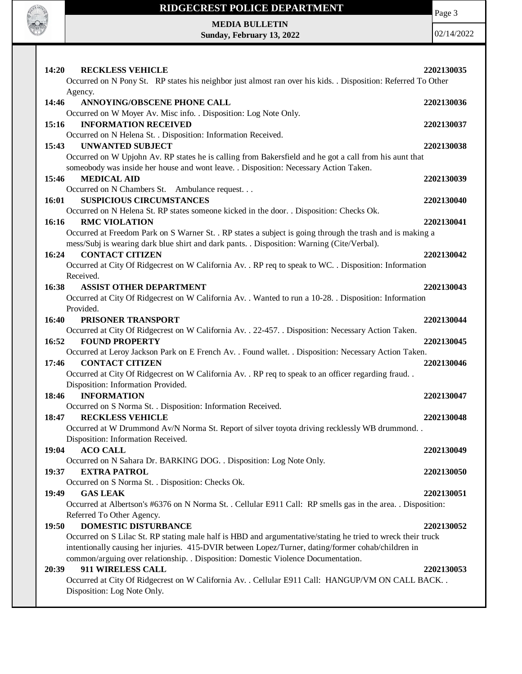

Page 3

**MEDIA BULLETIN Sunday, February 13, 2022**

| <b>14:20</b> | <b>RECKLESS VEHICLE</b>                                                                                                                  | 2202130035 |
|--------------|------------------------------------------------------------------------------------------------------------------------------------------|------------|
|              | Occurred on N Pony St. RP states his neighbor just almost ran over his kids. . Disposition: Referred To Other                            |            |
|              | Agency.                                                                                                                                  |            |
| 14:46        | ANNOYING/OBSCENE PHONE CALL                                                                                                              | 2202130036 |
|              | Occurred on W Moyer Av. Misc info. . Disposition: Log Note Only.                                                                         |            |
| 15:16        | <b>INFORMATION RECEIVED</b>                                                                                                              | 2202130037 |
|              | Occurred on N Helena St. . Disposition: Information Received.                                                                            |            |
| 15:43        | <b>UNWANTED SUBJECT</b>                                                                                                                  | 2202130038 |
|              | Occurred on W Upjohn Av. RP states he is calling from Bakersfield and he got a call from his aunt that                                   |            |
|              | someobody was inside her house and wont leave. . Disposition: Necessary Action Taken.                                                    |            |
| 15:46        | <b>MEDICAL AID</b>                                                                                                                       | 2202130039 |
|              | Occurred on N Chambers St. Ambulance request                                                                                             |            |
| 16:01        | <b>SUSPICIOUS CIRCUMSTANCES</b>                                                                                                          | 2202130040 |
|              | Occurred on N Helena St. RP states someone kicked in the door. . Disposition: Checks Ok.                                                 |            |
| 16:16        | <b>RMC VIOLATION</b>                                                                                                                     | 2202130041 |
|              | Occurred at Freedom Park on S Warner St. . RP states a subject is going through the trash and is making a                                |            |
|              | mess/Subj is wearing dark blue shirt and dark pants. . Disposition: Warning (Cite/Verbal).                                               |            |
| 16:24        | <b>CONTACT CITIZEN</b>                                                                                                                   | 2202130042 |
|              | Occurred at City Of Ridgecrest on W California Av. . RP req to speak to WC. . Disposition: Information                                   |            |
|              | Received.                                                                                                                                |            |
| 16:38        | <b>ASSIST OTHER DEPARTMENT</b>                                                                                                           | 2202130043 |
|              | Occurred at City Of Ridgecrest on W California Av. . Wanted to run a 10-28. . Disposition: Information                                   |            |
|              | Provided.                                                                                                                                |            |
| 16:40        | PRISONER TRANSPORT                                                                                                                       | 2202130044 |
|              | Occurred at City Of Ridgecrest on W California Av. . 22-457. . Disposition: Necessary Action Taken.<br><b>FOUND PROPERTY</b>             |            |
| 16:52        |                                                                                                                                          | 2202130045 |
| 17:46        | Occurred at Leroy Jackson Park on E French Av. . Found wallet. . Disposition: Necessary Action Taken.<br><b>CONTACT CITIZEN</b>          |            |
|              |                                                                                                                                          | 2202130046 |
|              | Occurred at City Of Ridgecrest on W California Av. . RP req to speak to an officer regarding fraud<br>Disposition: Information Provided. |            |
| 18:46        | <b>INFORMATION</b>                                                                                                                       | 2202130047 |
|              | Occurred on S Norma St. . Disposition: Information Received.                                                                             |            |
| 18:47        | <b>RECKLESS VEHICLE</b>                                                                                                                  | 2202130048 |
|              | Occurred at W Drummond Av/N Norma St. Report of silver toyota driving recklessly WB drummond                                             |            |
|              | Disposition: Information Received.                                                                                                       |            |
| 19:04        | <b>ACO CALL</b>                                                                                                                          | 2202130049 |
|              | Occurred on N Sahara Dr. BARKING DOG. . Disposition: Log Note Only.                                                                      |            |
| 19:37        | <b>EXTRA PATROL</b>                                                                                                                      | 2202130050 |
|              | Occurred on S Norma St. . Disposition: Checks Ok.                                                                                        |            |
| 19:49        | <b>GAS LEAK</b>                                                                                                                          | 2202130051 |
|              | Occurred at Albertson's #6376 on N Norma St. . Cellular E911 Call: RP smells gas in the area. . Disposition:                             |            |
|              | Referred To Other Agency.                                                                                                                |            |
| 19:50        | <b>DOMESTIC DISTURBANCE</b>                                                                                                              | 2202130052 |
|              | Occurred on S Lilac St. RP stating male half is HBD and argumentative/stating he tried to wreck their truck                              |            |
|              | intentionally causing her injuries. 415-DVIR between Lopez/Turner, dating/former cohab/children in                                       |            |
|              | common/arguing over relationship. . Disposition: Domestic Violence Documentation.                                                        |            |
| 20:39        | 911 WIRELESS CALL                                                                                                                        | 2202130053 |
|              | Occurred at City Of Ridgecrest on W California Av. . Cellular E911 Call: HANGUP/VM ON CALL BACK. .                                       |            |
|              | Disposition: Log Note Only.                                                                                                              |            |
|              |                                                                                                                                          |            |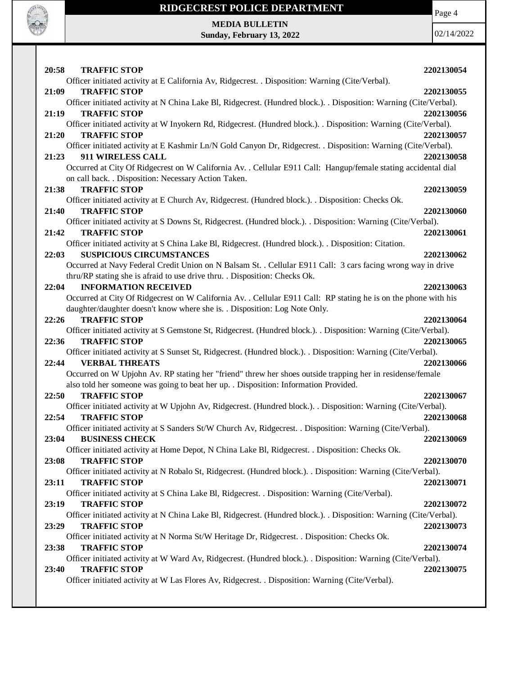

Page 4

**MEDIA BULLETIN Sunday, February 13, 2022**

| 20:58<br><b>TRAFFIC STOP</b>                                                                                       | 2202130054 |
|--------------------------------------------------------------------------------------------------------------------|------------|
| Officer initiated activity at E California Av, Ridgecrest. . Disposition: Warning (Cite/Verbal).                   |            |
| <b>TRAFFIC STOP</b><br>21:09                                                                                       | 2202130055 |
| Officer initiated activity at N China Lake Bl, Ridgecrest. (Hundred block.). . Disposition: Warning (Cite/Verbal). |            |
| 21:19<br><b>TRAFFIC STOP</b>                                                                                       | 2202130056 |
| Officer initiated activity at W Inyokern Rd, Ridgecrest. (Hundred block.). . Disposition: Warning (Cite/Verbal).   |            |
| <b>TRAFFIC STOP</b><br>21:20                                                                                       | 2202130057 |
| Officer initiated activity at E Kashmir Ln/N Gold Canyon Dr, Ridgecrest. . Disposition: Warning (Cite/Verbal).     |            |
| 911 WIRELESS CALL<br>21:23                                                                                         | 2202130058 |
| Occurred at City Of Ridgecrest on W California Av. . Cellular E911 Call: Hangup/female stating accidental dial     |            |
| on call back. . Disposition: Necessary Action Taken.                                                               |            |
| <b>TRAFFIC STOP</b><br>21:38                                                                                       | 2202130059 |
| Officer initiated activity at E Church Av, Ridgecrest. (Hundred block.). . Disposition: Checks Ok.                 |            |
| <b>TRAFFIC STOP</b><br>21:40                                                                                       | 2202130060 |
| Officer initiated activity at S Downs St, Ridgecrest. (Hundred block.). Disposition: Warning (Cite/Verbal).        |            |
| <b>TRAFFIC STOP</b><br>21:42                                                                                       | 2202130061 |
| Officer initiated activity at S China Lake Bl, Ridgecrest. (Hundred block.). . Disposition: Citation.              |            |
| <b>SUSPICIOUS CIRCUMSTANCES</b><br>22:03                                                                           | 2202130062 |
| Occurred at Navy Federal Credit Union on N Balsam St. . Cellular E911 Call: 3 cars facing wrong way in drive       |            |
| thru/RP stating she is afraid to use drive thru. . Disposition: Checks Ok.                                         |            |
| <b>INFORMATION RECEIVED</b><br>22:04                                                                               | 2202130063 |
| Occurred at City Of Ridgecrest on W California Av. . Cellular E911 Call: RP stating he is on the phone with his    |            |
| daughter/daughter doesn't know where she is. . Disposition: Log Note Only.<br><b>TRAFFIC STOP</b><br>22:26         | 2202130064 |
| Officer initiated activity at S Gemstone St, Ridgecrest. (Hundred block.). . Disposition: Warning (Cite/Verbal).   |            |
| <b>TRAFFIC STOP</b><br>22:36                                                                                       | 2202130065 |
| Officer initiated activity at S Sunset St, Ridgecrest. (Hundred block.). Disposition: Warning (Cite/Verbal).       |            |
| <b>VERBAL THREATS</b><br>22:44                                                                                     | 2202130066 |
| Occurred on W Upjohn Av. RP stating her "friend" threw her shoes outside trapping her in residense/female          |            |
| also told her someone was going to beat her up. . Disposition: Information Provided.                               |            |
| <b>TRAFFIC STOP</b><br>22:50                                                                                       | 2202130067 |
| Officer initiated activity at W Upjohn Av, Ridgecrest. (Hundred block.). . Disposition: Warning (Cite/Verbal).     |            |
| <b>TRAFFIC STOP</b><br>22:54                                                                                       | 2202130068 |
| Officer initiated activity at S Sanders St/W Church Av, Ridgecrest. . Disposition: Warning (Cite/Verbal).          |            |
| <b>BUSINESS CHECK</b><br>23:04                                                                                     | 2202130069 |
| Officer initiated activity at Home Depot, N China Lake Bl, Ridgecrest. . Disposition: Checks Ok.                   |            |
| <b>TRAFFIC STOP</b><br>23:08                                                                                       | 2202130070 |
| Officer initiated activity at N Robalo St, Ridgecrest. (Hundred block.). . Disposition: Warning (Cite/Verbal).     |            |
| <b>TRAFFIC STOP</b><br>23:11                                                                                       | 2202130071 |
| Officer initiated activity at S China Lake Bl, Ridgecrest. . Disposition: Warning (Cite/Verbal).                   |            |
| 23:19<br><b>TRAFFIC STOP</b>                                                                                       | 2202130072 |
| Officer initiated activity at N China Lake Bl, Ridgecrest. (Hundred block.). Disposition: Warning (Cite/Verbal).   |            |
| <b>TRAFFIC STOP</b><br>23:29                                                                                       | 2202130073 |
| Officer initiated activity at N Norma St/W Heritage Dr, Ridgecrest. . Disposition: Checks Ok.                      |            |
| 23:38<br><b>TRAFFIC STOP</b>                                                                                       | 2202130074 |
| Officer initiated activity at W Ward Av, Ridgecrest. (Hundred block.). . Disposition: Warning (Cite/Verbal).       |            |
| <b>TRAFFIC STOP</b><br>23:40                                                                                       | 2202130075 |
| Officer initiated activity at W Las Flores Av, Ridgecrest. . Disposition: Warning (Cite/Verbal).                   |            |
|                                                                                                                    |            |